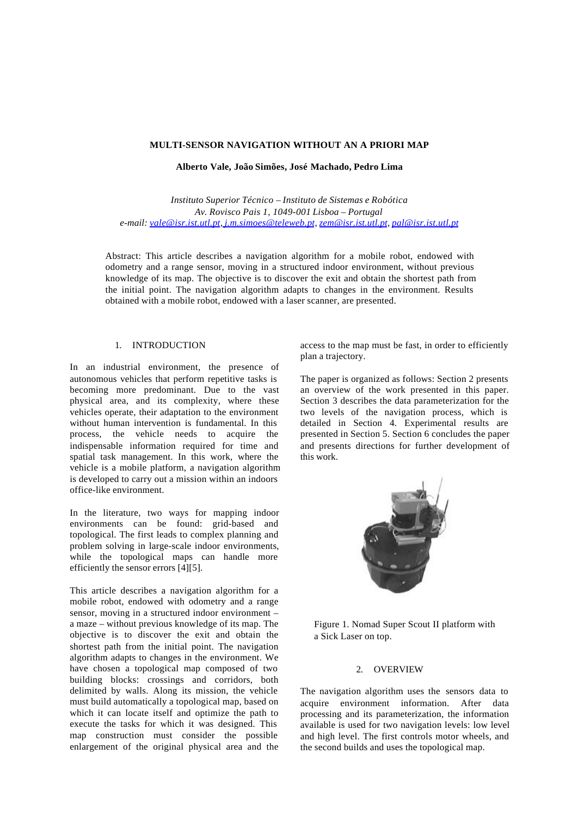# **MULTI-SENSOR NAVIGATION WITHOUT AN A PRIORI MAP**

**Alberto Vale, João Simões, José Machado, Pedro Lima**

*Instituto Superior Técnico – Instituto de Sistemas e Robótica Av. Rovisco Pais 1, 1049-001 Lisboa – Portugal e-mail: vale@isr.ist.utl.pt, j.m.simoes@teleweb.pt, zem@isr.ist.utl.pt, pal@isr.ist.utl.pt*

Abstract: This article describes a navigation algorithm for a mobile robot, endowed with odometry and a range sensor, moving in a structured indoor environment, without previous knowledge of its map. The objective is to discover the exit and obtain the shortest path from the initial point. The navigation algorithm adapts to changes in the environment. Results obtained with a mobile robot, endowed with a laser scanner, are presented.

# 1. INTRODUCTION

In an industrial environment, the presence of autonomous vehicles that perform repetitive tasks is becoming more predominant. Due to the vast physical area, and its complexity, where these vehicles operate, their adaptation to the environment without human intervention is fundamental. In this process, the vehicle needs to acquire the indispensable information required for time and spatial task management. In this work, where the vehicle is a mobile platform, a navigation algorithm is developed to carry out a mission within an indoors office-like environment.

In the literature, two ways for mapping indoor environments can be found: grid-based and topological. The first leads to complex planning and problem solving in large-scale indoor environments, while the topological maps can handle more efficiently the sensor errors [4][5].

This article describes a navigation algorithm for a mobile robot, endowed with odometry and a range sensor, moving in a structured indoor environment – a maze – without previous knowledge of its map. The objective is to discover the exit and obtain the shortest path from the initial point. The navigation algorithm adapts to changes in the environment. We have chosen a topological map composed of two building blocks: crossings and corridors, both delimited by walls. Along its mission, the vehicle must build automatically a topological map, based on which it can locate itself and optimize the path to execute the tasks for which it was designed. This map construction must consider the possible enlargement of the original physical area and the

access to the map must be fast, in order to efficiently plan a trajectory.

The paper is organized as follows: Section 2 presents an overview of the work presented in this paper. Section 3 describes the data parameterization for the two levels of the navigation process, which is detailed in Section 4. Experimental results are presented in Section 5. Section 6 concludes the paper and presents directions for further development of this work.



Figure 1. Nomad Super Scout II platform with a Sick Laser on top.

## 2. OVERVIEW

The navigation algorithm uses the sensors data to acquire environment information. After data processing and its parameterization, the information available is used for two navigation levels: low level and high level. The first controls motor wheels, and the second builds and uses the topological map.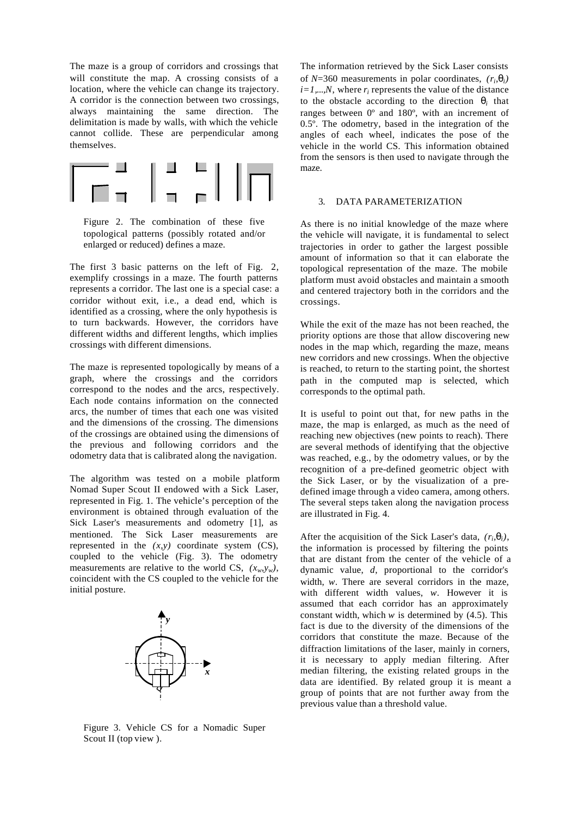The maze is a group of corridors and crossings that will constitute the map. A crossing consists of a location, where the vehicle can change its trajectory. A corridor is the connection between two crossings, always maintaining the same direction. The delimitation is made by walls, with which the vehicle cannot collide. These are perpendicular among themselves.





The first 3 basic patterns on the left of Fig. 2, exemplify crossings in a maze. The fourth patterns represents a corridor. The last one is a special case: a corridor without exit, i.e., a dead end, which is identified as a crossing, where the only hypothesis is to turn backwards. However, the corridors have different widths and different lengths, which implies crossings with different dimensions.

The maze is represented topologically by means of a graph, where the crossings and the corridors correspond to the nodes and the arcs, respectively. Each node contains information on the connected arcs, the number of times that each one was visited and the dimensions of the crossing. The dimensions of the crossings are obtained using the dimensions of the previous and following corridors and the odometry data that is calibrated along the navigation.

The algorithm was tested on a mobile platform Nomad Super Scout II endowed with a Sick Laser, represented in Fig. 1. The vehicle's perception of the environment is obtained through evaluation of the Sick Laser's measurements and odometry [1], as mentioned. The Sick Laser measurements are represented in the  $(x, y)$  coordinate system  $(CS)$ , coupled to the vehicle (Fig. 3). The odometry measurements are relative to the world CS,  $(x_w, y_w)$ , coincident with the CS coupled to the vehicle for the initial posture.



Figure 3. Vehicle CS for a Nomadic Super Scout II (top view ).

The information retrieved by the Sick Laser consists of *N*=360 measurements in polar coordinates,  $(r_i, \mathbf{q}_i)$  $i=1,...,N$ , where  $r_i$  represents the value of the distance to the obstacle according to the direction  $q_i$  that ranges between 0º and 180º, with an increment of 0.5º. The odometry, based in the integration of the angles of each wheel, indicates the pose of the vehicle in the world CS. This information obtained from the sensors is then used to navigate through the maze.

## 3. DATA PARAMETERIZATION

As there is no initial knowledge of the maze where the vehicle will navigate, it is fundamental to select trajectories in order to gather the largest possible amount of information so that it can elaborate the topological representation of the maze. The mobile platform must avoid obstacles and maintain a smooth and centered trajectory both in the corridors and the crossings.

While the exit of the maze has not been reached, the priority options are those that allow discovering new nodes in the map which, regarding the maze, means new corridors and new crossings. When the objective is reached, to return to the starting point, the shortest path in the computed map is selected, which corresponds to the optimal path.

It is useful to point out that, for new paths in the maze, the map is enlarged, as much as the need of reaching new objectives (new points to reach). There are several methods of identifying that the objective was reached, e.g., by the odometry values, or by the recognition of a pre-defined geometric object with the Sick Laser, or by the visualization of a predefined image through a video camera, among others. The several steps taken along the navigation process are illustrated in Fig. 4.

After the acquisition of the Sick Laser's data,  $(r_i, \mathbf{q}_i)$ , the information is processed by filtering the points that are distant from the center of the vehicle of a dynamic value, *d*, proportional to the corridor's width, *w*. There are several corridors in the maze, with different width values, *w*. However it is assumed that each corridor has an approximately constant width, which *w* is determined by (4.5). This fact is due to the diversity of the dimensions of the corridors that constitute the maze. Because of the diffraction limitations of the laser, mainly in corners, it is necessary to apply median filtering. After median filtering, the existing related groups in the data are identified. By related group it is meant a group of points that are not further away from the previous value than a threshold value.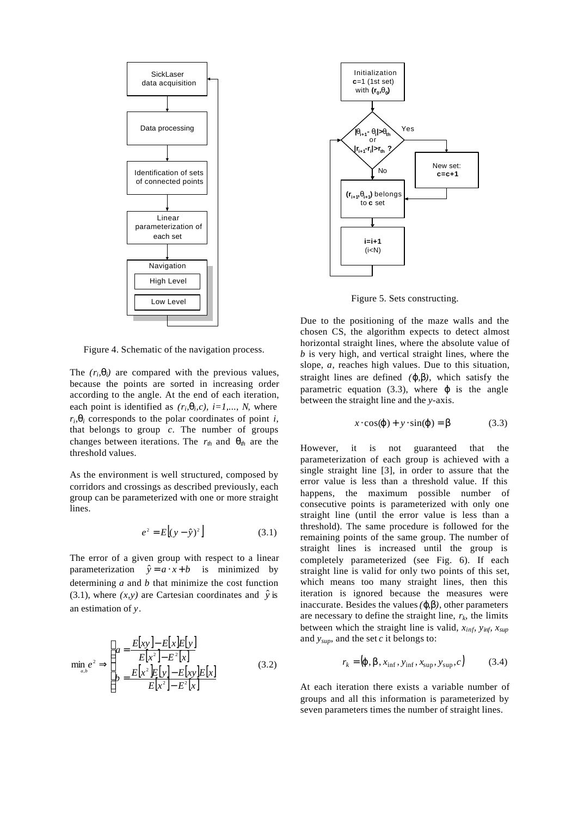

Figure 4. Schematic of the navigation process.

The  $(r_i, \mathbf{q}_i)$  are compared with the previous values, because the points are sorted in increasing order according to the angle. At the end of each iteration, each point is identified as  $(r_i, \mathbf{q}_i, c)$ ,  $i = 1,..., N$ , where  $r_i$ ,  $q_i$  corresponds to the polar coordinates of point *i*, that belongs to group *c*. The number of groups changes between iterations. The  $r_{th}$  and  $q_{th}$  are the threshold values.

As the environment is well structured, composed by corridors and crossings as described previously, each group can be parameterized with one or more straight lines.

$$
e^2 = E[(y - \hat{y})^2]
$$
 (3.1)

The error of a given group with respect to a linear parameterization  $\hat{y} = a \cdot x + b$  is minimized by determining *a* and *b* that minimize the cost function (3.1), where  $(x, y)$  are Cartesian coordinates and  $\hat{y}$  is an estimation of *y*.

$$
\min_{a,b} e^2 \Rightarrow \begin{cases} a = \frac{E[xy] - E[x]E[y]}{E[x^2] - E^2[x]} \\ b = \frac{E[x^2]E[y] - E[xy]E[x]}{E[x^2] - E^2[x]} \end{cases}
$$
(3.2)



Figure 5. Sets constructing.

Due to the positioning of the maze walls and the chosen CS, the algorithm expects to detect almost horizontal straight lines, where the absolute value of *b* is very high, and vertical straight lines, where the slope, *a*, reaches high values. Due to this situation, straight lines are defined *(j,b)*, which satisfy the parametric equation  $(3.3)$ , where *j* is the angle between the straight line and the *y*-axis.

$$
x \cdot \cos(j) + y \cdot \sin(j) = b \tag{3.3}
$$

However, it is not guaranteed that the parameterization of each group is achieved with a single straight line [3], in order to assure that the error value is less than a threshold value. If this happens, the maximum possible number of consecutive points is parameterized with only one straight line (until the error value is less than a threshold). The same procedure is followed for the remaining points of the same group. The number of straight lines is increased until the group is completely parameterized (see Fig. 6). If each straight line is valid for only two points of this set, which means too many straight lines, then this iteration is ignored because the measures were inaccurate. Besides the values  $(j, b)$ , other parameters are necessary to define the straight line,  $r_k$ , the limits between which the straight line is valid,  $x_{inf}$ ,  $y_{inf}$ ,  $x_{sup}$ and *ysup*, and the set *c* it belongs to:

$$
r_k = (\mathbf{j} \cdot \mathbf{b}, x_{\text{inf}}, y_{\text{inf}}, x_{\text{sup}}, y_{\text{sup}}, c)
$$
 (3.4)

At each iteration there exists a variable number of groups and all this information is parameterized by seven parameters times the number of straight lines.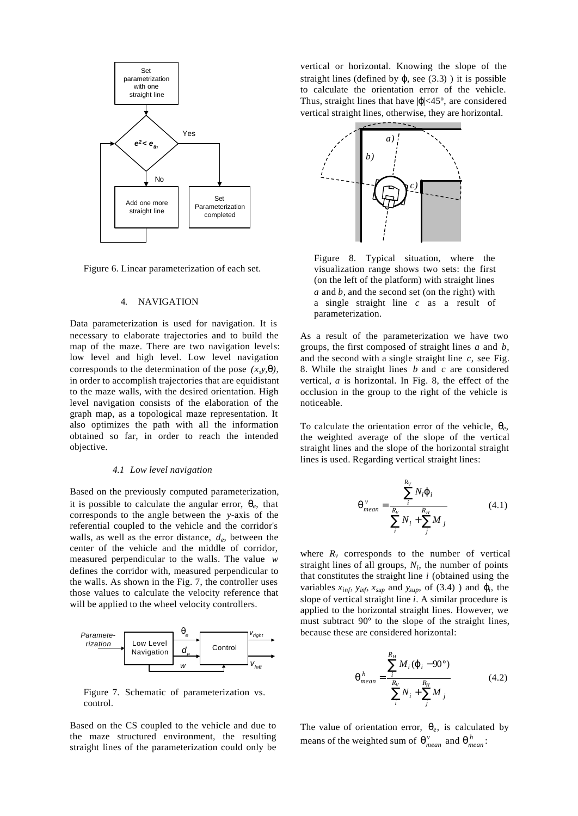

Figure 6. Linear parameterization of each set.

## 4. NAVIGATION

Data parameterization is used for navigation. It is necessary to elaborate trajectories and to build the map of the maze. There are two navigation levels: low level and high level. Low level navigation corresponds to the determination of the pose *(x,y,q)*, in order to accomplish trajectories that are equidistant to the maze walls, with the desired orientation. High level navigation consists of the elaboration of the graph map, as a topological maze representation. It also optimizes the path with all the information obtained so far, in order to reach the intended objective.

#### *4.1 Low level navigation*

Based on the previously computed parameterization, it is possible to calculate the angular error,  $q_e$ , that corresponds to the angle between the *y*-axis of the referential coupled to the vehicle and the corridor's walls, as well as the error distance, *d<sup>e</sup>* , between the center of the vehicle and the middle of corridor, measured perpendicular to the walls. The value *w* defines the corridor with, measured perpendicular to the walls. As shown in the Fig. 7, the controller uses those values to calculate the velocity reference that will be applied to the wheel velocity controllers.



Figure 7. Schematic of parameterization vs. control.

Based on the CS coupled to the vehicle and due to the maze structured environment, the resulting straight lines of the parameterization could only be

vertical or horizontal. Knowing the slope of the straight lines (defined by  $j$ , see (3.3) ) it is possible to calculate the orientation error of the vehicle. Thus, straight lines that have  $|j|$  <45°, are considered vertical straight lines, otherwise, they are horizontal.



Figure 8. Typical situation, where the visualization range shows two sets: the first (on the left of the platform) with straight lines *a* and *b,* and the second set (on the right) with a single straight line *c* as a result of parameterization.

As a result of the parameterization we have two groups, the first composed of straight lines *a* and *b*, and the second with a single straight line *c*, see Fig. 8. While the straight lines *b* and *c* are considered vertical, *a* is horizontal. In Fig. 8, the effect of the occlusion in the group to the right of the vehicle is noticeable.

To calculate the orientation error of the vehicle, *q<sup>e</sup>* , the weighted average of the slope of the vertical straight lines and the slope of the horizontal straight lines is used. Regarding vertical straight lines:

$$
\mathbf{q}_{mean}^{v} = \frac{\sum_{i}^{R_V} N_i \mathbf{j}_{i}}{\sum_{i}^{R_V} N_i + \sum_{j}^{R_H} M_{j}}
$$
(4.1)

where  $R_v$  corresponds to the number of vertical straight lines of all groups,  $N_i$ , the number of points that constitutes the straight line *i* (obtained using the variables  $x_{\text{inf}}$ ,  $y_{\text{inf}}$ ,  $x_{\text{sup}}$  and  $y_{\text{sup}}$ , of (3.4) ) and  $\mathbf{j}_i$ , the slope of vertical straight line *i*. A similar procedure is applied to the horizontal straight lines. However, we must subtract 90º to the slope of the straight lines, because these are considered horizontal:

$$
\mathbf{q}_{mean}^{h} = \frac{\sum_{i}^{R_H} M_i (\mathbf{j}_i - 90^{\circ})}{\sum_{i}^{R_V} N_i + \sum_{j}^{R_H} M_j}
$$
(4.2)

The value of orientation error,  $q_e$ , is calculated by means of the weighted sum of  $q_{mean}^v$  and  $q_{mean}^h$ :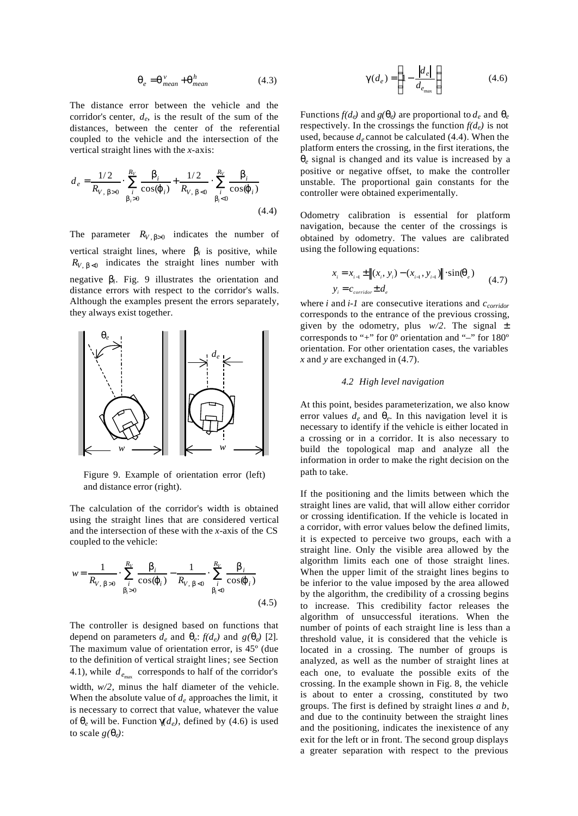$$
\boldsymbol{q}_e = \boldsymbol{q}^{\nu}_{mean} + \boldsymbol{q}^h_{mean} \tag{4.3}
$$

The distance error between the vehicle and the corridor's center,  $d_e$ , is the result of the sum of the distances, between the center of the referential coupled to the vehicle and the intersection of the vertical straight lines with the *x*-axis:

$$
d_e = \frac{1/2}{R_{V, b>0}} \cdot \sum_{\substack{i \\ b_i>0}}^{\frac{R_V}{2}} \frac{b_i}{\cos(j_i)} + \frac{1/2}{R_{V, b<0}} \cdot \sum_{\substack{i \\ b_i<0}}^{\frac{R_V}{2}} \frac{b_i}{\cos(j_i)}
$$
(4.4)

The parameter  $R_{V, \beta > 0}$  indicates the number of vertical straight lines, where  $\boldsymbol{b}_i$  is positive, while  $R_{V, b \le 0}$  indicates the straight lines number with negative *b<sup>i</sup>* . Fig. 9 illustrates the orientation and distance errors with respect to the corridor's walls. Although the examples present the errors separately, they always exist together.



Figure 9. Example of orientation error (left) and distance error (right).

The calculation of the corridor's width is obtained using the straight lines that are considered vertical and the intersection of these with the *x*-axis of the CS coupled to the vehicle:

$$
w = \frac{1}{R_{V, b>0}} \cdot \sum_{i}^{R_{V}} \frac{b_{i}}{\cos(j_{i})} - \frac{1}{R_{V, b>0}} \cdot \sum_{i}^{R_{V}} \frac{b_{i}}{\cos(j_{i})}
$$
(4.5)

The controller is designed based on functions that depend on parameters  $d_e$  and  $\boldsymbol{q}_e$ :  $f(d_e)$  and  $g(\boldsymbol{q}_e)$  [2]. The maximum value of orientation error, is 45º (due to the definition of vertical straight lines; see Section 4.1), while  $d_{e_{\text{max}}}$  corresponds to half of the corridor's width, *w/2*, minus the half diameter of the vehicle. When the absolute value of *d<sup>e</sup>* approaches the limit, it is necessary to correct that value, whatever the value of  $q_e$  will be. Function  $qd_e$ , defined by (4.6) is used to scale  $g(\boldsymbol{q}_e)$ :

$$
\boldsymbol{g}(d_e) = \left(1 - \frac{|d_e|}{d_{e_{\text{max}}}}\right) \tag{4.6}
$$

Functions  $f(d_e)$  and  $g(q_e)$  are proportional to  $d_e$  and  $q_e$ respectively. In the crossings the function  $f(d_e)$  is not used, because  $d_e$  cannot be calculated (4.4). When the platform enters the crossing, in the first iterations, the *qe* signal is changed and its value is increased by a positive or negative offset, to make the controller unstable. The proportional gain constants for the controller were obtained experimentally.

Odometry calibration is essential for platform navigation, because the center of the crossings is obtained by odometry. The values are calibrated using the following equations:

$$
x_{i} = x_{i-1} \pm ||(x_{i}, y_{i}) - (x_{i-1}, y_{i-1})|| \cdot \sin(\pmb{q}_{e})
$$
  

$$
y_{i} = c_{\text{corridor}} \pm d_{e}
$$
 (4.7)

where *i* and *i-1* are consecutive iterations and *ccorridor* corresponds to the entrance of the previous crossing, given by the odometry, plus  $w/2$ . The signal  $\pm$ corresponds to "+" for  $0^{\circ}$  orientation and "-" for  $180^{\circ}$ orientation. For other orientation cases, the variables *x* and *y* are exchanged in (4.7).

## *4.2 High level navigation*

At this point, besides parameterization, we also know error values  $d_e$  and  $\boldsymbol{q}_e$ . In this navigation level it is necessary to identify if the vehicle is either located in a crossing or in a corridor. It is also necessary to build the topological map and analyze all the information in order to make the right decision on the path to take.

If the positioning and the limits between which the straight lines are valid, that will allow either corridor or crossing identification. If the vehicle is located in a corridor, with error values below the defined limits, it is expected to perceive two groups, each with a straight line. Only the visible area allowed by the algorithm limits each one of those straight lines. When the upper limit of the straight lines begins to be inferior to the value imposed by the area allowed by the algorithm, the credibility of a crossing begins to increase. This credibility factor releases the algorithm of unsuccessful iterations. When the number of points of each straight line is less than a threshold value, it is considered that the vehicle is located in a crossing. The number of groups is analyzed, as well as the number of straight lines at each one, to evaluate the possible exits of the crossing. In the example shown in Fig. 8, the vehicle is about to enter a crossing, constituted by two groups. The first is defined by straight lines *a* and *b*, and due to the continuity between the straight lines and the positioning, indicates the inexistence of any exit for the left or in front. The second group displays a greater separation with respect to the previous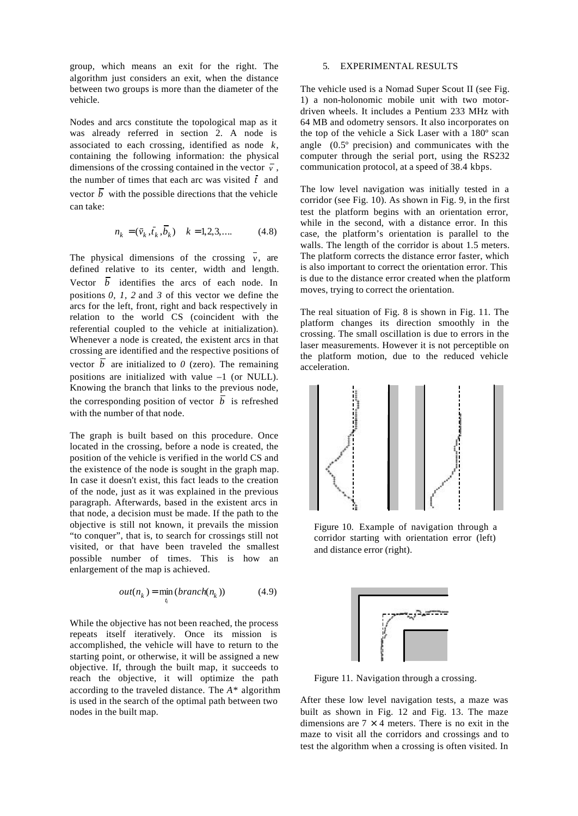group, which means an exit for the right. The algorithm just considers an exit, when the distance between two groups is more than the diameter of the vehicle.

Nodes and arcs constitute the topological map as it was already referred in section 2. A node is associated to each crossing, identified as node *k*, containing the following information: the physical dimensions of the crossing contained in the vector  $\overline{v}$ , the number of times that each arc was visited  $\bar{t}$  and vector  $\overline{b}$  with the possible directions that the vehicle can take:

$$
n_k = (\bar{v}_k, \bar{t}_k, \bar{b}_k) \quad k = 1, 2, 3, .... \tag{4.8}
$$

The physical dimensions of the crossing  $\overline{v}$ , are defined relative to its center, width and length. Vector  $\overline{b}$  identifies the arcs of each node. In positions *0, 1, 2* and *3* of this vector we define the arcs for the left, front, right and back respectively in relation to the world CS (coincident with the referential coupled to the vehicle at initialization). Whenever a node is created, the existent arcs in that crossing are identified and the respective positions of vector  $\overline{b}$  are initialized to  $\theta$  (zero). The remaining positions are initialized with value –1 (or NULL). Knowing the branch that links to the previous node, the corresponding position of vector  $\overline{b}$  is refreshed with the number of that node.

The graph is built based on this procedure. Once located in the crossing, before a node is created, the position of the vehicle is verified in the world CS and the existence of the node is sought in the graph map. In case it doesn't exist, this fact leads to the creation of the node, just as it was explained in the previous paragraph. Afterwards, based in the existent arcs in that node, a decision must be made. If the path to the objective is still not known, it prevails the mission "to conquer", that is, to search for crossings still not visited, or that have been traveled the smallest possible number of times. This is how an enlargement of the map is achieved.

$$
out(nk) = minti (branch(nk))
$$
 (4.9)

While the objective has not been reached, the process repeats itself iteratively. Once its mission is accomplished, the vehicle will have to return to the starting point, or otherwise, it will be assigned a new objective. If, through the built map, it succeeds to reach the objective, it will optimize the path according to the traveled distance. The *A\** algorithm is used in the search of the optimal path between two nodes in the built map.

## 5. EXPERIMENTAL RESULTS

The vehicle used is a Nomad Super Scout II (see Fig. 1) a non-holonomic mobile unit with two motordriven wheels. It includes a Pentium 233 MHz with 64 MB and odometry sensors. It also incorporates on the top of the vehicle a Sick Laser with a 180º scan angle (0.5º precision) and communicates with the computer through the serial port, using the RS232 communication protocol, at a speed of 38.4 kbps.

The low level navigation was initially tested in a corridor (see Fig. 10). As shown in Fig. 9, in the first test the platform begins with an orientation error, while in the second, with a distance error. In this case, the platform's orientation is parallel to the walls. The length of the corridor is about 1.5 meters. The platform corrects the distance error faster, which is also important to correct the orientation error. This is due to the distance error created when the platform moves, trying to correct the orientation.

The real situation of Fig. 8 is shown in Fig. 11. The platform changes its direction smoothly in the crossing. The small oscillation is due to errors in the laser measurements. However it is not perceptible on the platform motion, due to the reduced vehicle acceleration.



Figure 10. Example of navigation through a corridor starting with orientation error (left) and distance error (right).



Figure 11. Navigation through a crossing.

After these low level navigation tests, a maze was built as shown in Fig. 12 and Fig. 13. The maze dimensions are  $7 \times 4$  meters. There is no exit in the maze to visit all the corridors and crossings and to test the algorithm when a crossing is often visited. In